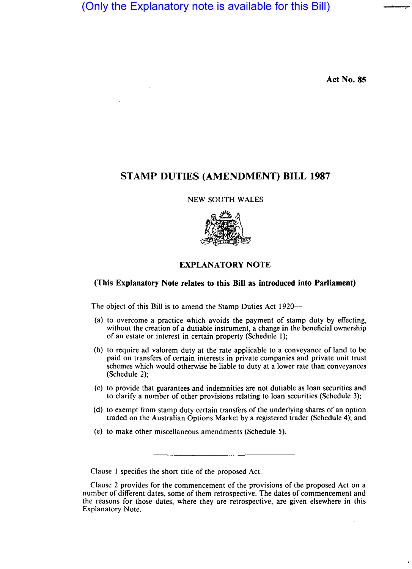(Only the Explanatory note is available for this Bill)

**Act No. 85** 

# **STAMP DUTIES (AMENDMENT) BILL 1987**

NEW SOUTH WALES



## **EXPLANATORY NOTE**

### **(This Explanatory Note relates to this Bill as introduced into Parliament)**

The object of this Bill is to amend the Stamp Duties Act 1920—

- (a) to overcome a practice which avoids the payment of stamp duty by effecting, without the creation of a dutiable instrument, a change in the beneficial ownership of an estate or interest in certain property (Schedule 1);
- (b) to require ad valorem duty at the rate applicable to a conveyance of land to be paid on transfers of certain interests in private companies and private unit trust schemes which would otherwise be liable to duty at a lower rate than conveyances (Schedule 2);
- (c) to provide that guarantees and indemnities are not dutiable as loan securities and to clarify a number of other provisions relating to loan securities (Schedule 3);
- (d) to exempt from stamp duty certain transfers of the underlying shares of an option traded on the Australian Options Market by a registered trader (Schedule 4); and
- (e) to make other miscellaneous amendments (Schedule 5).

Clause I specifies the short title of the proposed Act.

Clause 2 provides for the commencement of the provisions of the proposed Act on a number of different dates, some of them retrospective. The dates of commencement and the reasons for those dates, where they are retrospective, are given elsewhere in this Explanatory Note.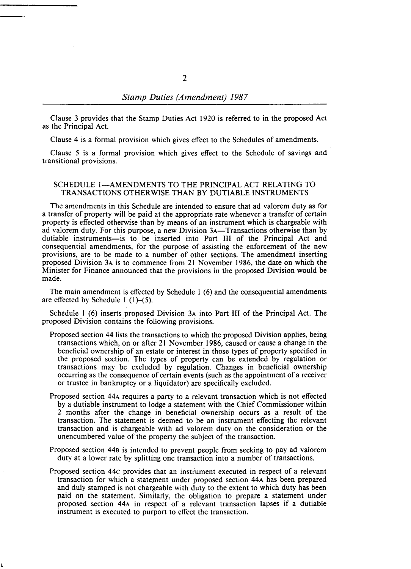Clause 3 provides that the Stamp Duties Act 1920 is referred to in the proposed Act as the Principal Act.

Clause 4 is a formal provision which gives effect to the Schedules of amendments.

Clause 5 is a formal provision which gives effect to the Schedule of savings and transitional provisions.

## SCHEDULE 1-AMENDMENTS TO THE PRINCIPAL ACT RELATING TO TRANSACTIONS OTHERWISE THAN BY DUTIABLE INSTRUMENTS

The amendments in this Schedule are intended to ensure that ad valorem duty as for a transfer of property will be paid at the appropriate rate whenever a transfer of certain property is effected otherwise than by means of an instrument which is chargeable with ad valorem duty. For this purpose, a new Division 3A-Transactions otherwise than by dutiable instruments-is to be inserted into Part III of the Principal Act and consequential amendments, for the purpose of assisting the enforcement of the new provisions, are to be made to a number of other sections. The amendment inserting proposed Division 3A is to commence from 21 November 1986, the date on which the Minister for Finance announced that the provisions in the proposed Division would be made.

The main amendment is effected by Schedule 1 (6) and the consequential amendments are effected by Schedule 1 (1)-(5).

Schedule 1 (6) inserts proposed Division 3A into Part III of the Principal Act. The proposed Division contains the following provisions.

- Proposed section 44 lists the transactions to which the proposed Division applies, being transactions which, on or after 21 November 1986, caused or cause a change in the beneficial ownership of an estate or interest in those types of property specified in the proposed section. The types of property can be extended by regulation or transactions may be excluded by regulation. Changes in beneficial ownership occurring as the consequence of certain events (such as the appointment of a receiver or trustee in bankruptcy or a liquidator) are specifically excluded.
- Proposed section 44A requires a party to a relevant transaction which is not effected by a dutiable instrument to lodge a statement with the Chief Commissioner within 2 months after the change in beneficial ownership occurs as a result of the transaction. The statement is deemed to be an instrument effecting the relevant transaction and is chargeable with ad valorem duty on the consideration or the unencumbered value of the property the subject of the transaction.
- Proposed section 440 is intended to prevent people from seeking to pay ad valorem duty at a lower rate by splitting one transaction into a number of transactions.
- Proposed section 44c provides that an instrument executed in respect of a relevant transaction for which a statement under proposed section 44A has been prepared and duly stamped is not chargeable with duty to the extent to which duty has been paid on the statement. Similarly, the obligation to prepare a statement under proposed section 44A in respect of a relevant transaction lapses if a dutiable instrument is executed to purport to effect the transaction.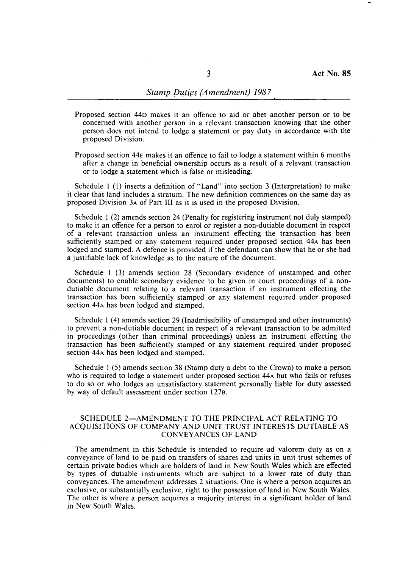- Proposed section 440 makes it an offence to aid or abet another person or to be concerned with another person in a relevant transaction knowing that the other person does not intend to lodge a statement or pay duty in accordance with the proposed Division.
- Proposed section 44E makes it an offence to fail to lodge a statement within 6 months after a change in beneficial ownership occurs as a result of a relevant transaction or to lodge a statement which is false or misleading.

Schedule I (I) inserts a definition of "Land" into section 3 (Interpretation) to make it clear that land includes a stratum. The new definition commences on the same day as proposed Division 3A of Part III as it is used in the proposed Division.

Schedule 1 (2) amends section 24 (Penalty for registering instrument not duly stamped) to make it an offence for a person to enrol or register a non-dutiable document in respect of a relevant transaction unless an instrument effecting the transaction has been sufficiently stamped or any statement required under proposed section 44A has been lodged and stamped. A defence is provided if the defendant can show that he or she had a justifiable lack of knowledge as to the nature of the document.

Schedule I (3) amends section 28 (Secondary evidence of unstamped and other documents) to enable secondary evidence to be given in court proceedings of a nondutiable document relating to a relevant transaction if an instrument effecting the transaction has been sufficiently stamped or any statement required under proposed section 44A has been lodged and stamped.

Schedule 1 (4) amends section 29 (Inadmissibility of unstamped and other instruments) to prevent a non-dutiable document in respect of a relevant transaction to be admitted in proceedings (other than criminal proceedings) unless an instrument effecting the transaction has been sufficiently stamped or any statement required under proposed section 44A has been lodged and stamped.

Schedule I (5) amends section 38 (Stamp duty a debt to the Crown) to make a person who is required to lodge a statement under proposed section 44A but who fails or refuses to do so or who lodges an unsatisfactory statement personally liable for duty assessed by way of default assessment under section 127B.

### SCHEDULE 2-AMENDMENT TO THE PRINCIPAL ACT RELATING TO ACQUISITIONS OF COMPANY AND UNIT TRUST INTERESTS DUTIABLE AS CONVEYANCES OF LAND

The amendment in this Schedule is intended to require ad valorem duty as on a conveyance of land to be paid on transfers of shares and units in unit trust schemes of certain private bodies which are holders of land in New South Wales which are effected by types of dutiable instruments which are subject to a lower rate of duty than conveyances. The amendment addresses 2 situations. One is where a person acquires an exclusive, or substantially exclusive, right to the possession of land in New South Wales. The other is where a person acquires a majority interest in a significant holder of land in New South Wales.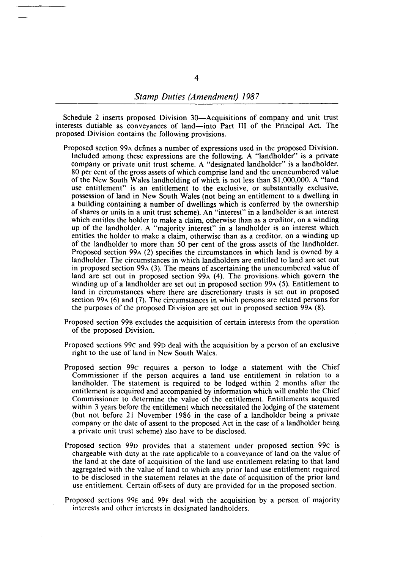Schedule 2 inserts proposed Division 30—Acquisitions of company and unit trust interests dutiable as conveyances of land-into Part III of the Principal Act. The proposed Division contains the following provisions.

- Proposed section 99A defines a number of expressions used in the proposed Division. Included among these expressions are the following. A "landholder" is a private company or private unit trust scheme. A "designated landholder" is a landholder, 80 per cent of the gross assets of which comprise land and the unencumbered value of the New South Wales landholding of which is not less than \$1,000,000. A "land use entitlement" is an entitlement to the exclusive, or substantially exclusive, possession of land in New South Wales (not being an entitlement to a dwelling in a building containing a number of dwellings which is conferred by the ownership of shares or units in a unit trust scheme). An "interest" in a landholder is an interest which entitles the holder to make a claim, otherwise than as a creditor, on a winding up of the landholder. A "majority interest" in a landholder is an interest which entitles the holder to make a claim, otherwise than as a creditor, on a winding up of the landholder to more than 50 per cent of the gross assets of the landholder. Proposed section 99A (2) specifies the circumstances in which land is owned by a landholder. The circumstances in which landholders are entitled to land are set out in proposed section 99A (3). The means of ascertaining the unencumbered value of land are set out in proposed section 99A (4). The provisions which govern the winding up of a landholder are set out in proposed section 99A (5). Entitlement to land in circumstances where there are discretionary trusts is set out in proposed section 99A (6) and (7). The circumstances in which persons are related persons for the purposes of the proposed Division are set out in proposed section 99A (8).
- Proposed section 998 excludes the acquisition of certain interests from the operation of the proposed Division.
- Proposed sections 99c and 990 deal with the acquisition by a person of an exclusive right to the use of land in New South Wales.
- Proposed section 99c requires a person to lodge a statement with the Chief Commissioner if the person acquires a land use entitlement in relation to a landholder. The statement is required to be lodged within 2 months after the entitlement is acquired and accompanied by information which will enable the Chief Commissioner to determine the value of the entitlement. Entitlements acquired within 3 years before the entitlement which necessitated the lodging of the statement (but not before 21 November 1986 in the case of a landholder being a private company or the date of assent to the proposed Act in the case of a landholder being a private unit trust scheme) also have to be disclosed.
- Proposed section 990 provides that a statement under proposed section 99c is chargeable with duty at the rate applicable to a conveyance of land on the value of the land at the date of acquisition of the land use entitlement relating to that land aggregated with the value of land to which any prior land use entitlement required to be disclosed in the statement relates at the date of acquisition of the prior land use entitlement. Certain off-sets of duty are provided for in the proposed section.
- Proposed sections 99E and 99F deal with the acquisition by a person of majority interests and other interests in designated landholders.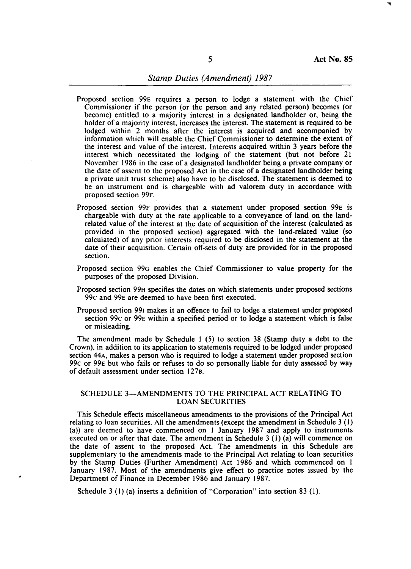- Proposed section 99E requires a person to lodge a statement with the Chief Commissioner if the person (or the person and any related person) becomes (or become) entitled to a majority interest in a designated landholder or, being the holder of a majority interest, increases the interest. The statement is required to be lodged within 2 months after the interest is acquired and accompanied by information which will enable the Chief Commissioner to determine the extent of the interest and value of the interest. Interests acquired within 3 years before the interest which necessitated the lodging of the statement (but not before 21 November 1986 in the case of a designated landholder being a private company or the date of assent to the proposed Act in the case of a designated landholder being a private unit trust scheme) also have to be disclosed. The statement is deemed to be an instrument and is chargeable with ad valorem duty in accordance with proposed section 99F.
- Proposed section 99F provides that a statement under proposed section 99E is chargeable with duty at the rate applicable to a conveyance of land on the landrelated value of the interest at the date of acquisition of the interest (calculated as provided in the proposed section) aggregated with the land-related value (so calculated) of any prior interests required to be disclosed in the statement at the date of their acquisition. Certain off-sets of duty are provided for in the proposed section.
- Proposed section 99G enables the Chief Commissioner to value property for the purposes of the proposed Division.
- Proposed section 99H specifies the dates on which statements under proposed sections 99c and 99E are deemed to have been first executed.
- Proposed section 991 makes it an offence to fail to lodge a statement under proposed section 99c or 99E within a specified period or to lodge a statement which is false or misleading.

The amendment made by Schedule I (5) to section 38 (Stamp duty a debt to the Crown), in addition to its application to statements required to be lodged under proposed section 44A, makes a person who is required to lodge a statement under proposed section 99c or 99E but who fails or refuses to do so personally liable for duty assessed by way of default assessment under section 1278.

### SCHEDULE 3-AMENDMENTS TO THE PRINCIPAL ACT RELATING TO LOAN SECURITIES

This Schedule effects miscellaneous amendments to the provisions of the Principal Act relating to loan securities. All the amendments (except the amendment in Schedule 3 (1) (a)) are deemed to have commenced on 1 January 1987 and apply to instruments executed on or after that date. The amendment in Schedule 3 (1) (a) will commence on the date of assent to the proposed Act. The amendments in this Schedule are supplementary to the amendments made to the Principal Act relating to loan securities by the Stamp Duties (Further Amendment) Act 1986 and which commenced on 1 January 1987. Most of the amendments give effect to practice notes issued by the Department of Finance in December 1986 and January 1987.

Schedule 3 (I) (a) inserts a definition of "Corporation" into section 83 (I).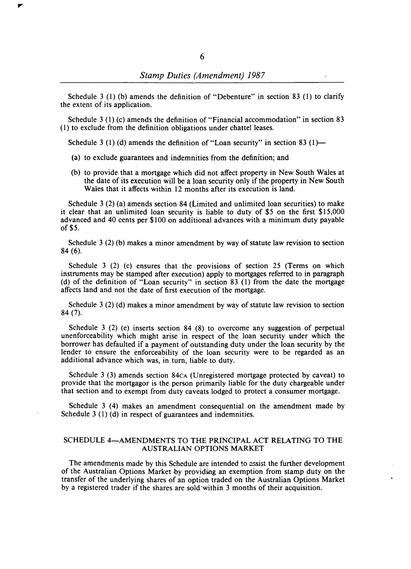Schedule 3 (1) (b) amends the definition of "Debenture" in section 83 (1) to clarify the extent of its application.

Schedule 3 (I) (c) amends the definition of "Financial accommodation" in section 83 (I) to exclude from the definition obligations under chattel leases.

Schedule 3 (1) (d) amends the definition of "Loan security" in section 83 (1)—

- (a) to exclude guarantees and indemnities from the definition; and
- (b) to provide that a mortgage which did not affect property in New South Wales at the date of its execution will be a loan security only if the property in New South Wales that it affects within 12 months after its execution is land.

Schedule 3 (2) (a) amends section 84 (Limited and unlimited loan securities) to make it clear that an unlimited loan security is liable to duty of \$5 on the first \$15,000 advanced and 40 cents per \$100 on additional advances with a minimum duty payable of\$5.

Schedule 3 (2) (b) makes a minor amendment by way of statute law revision to section 84 (6).

Schedule 3 (2) (c) ensures that the provisions of section 25 (Terms on which instruments may be stamped after execution) apply to mortgages referred to in paragraph (d) of the definition of "Loan security" in section 83 (I) from the date the mortgage affects land and not the date of first execution of the mortgage.

Schedule 3 (2) (d) makes a minor amendment by way of statute law revision to section 84 (7).

Schedule 3 (2) (e) inserts section 84 (8) to overcome any suggestion of perpetual unenforceability which might arise in respect of the loan security under which the borrower has defaulted if a payment of outstanding duty under the loan security by the lender to ensure the enforceability of the loan security were to be regarded as an additional advance which was, in turn, liable to duty.

Schedule 3(3) amends section 84 $CA$  (Unregistered mortgage protected by caveat) to provide that the mortgagor is the person primarily liable for the duty chargeable under that section and to exempt from. duty caveats lodged to protect a consumer mortgage.

Schedule 3 (4) makes an amendment consequential on the amendment made by Schedule 3 (1) (d) in respect of guarantees and indemnities.

#### SCHEDULE 4—AMENDMENTS TO THE PRINCIPAL ACT RELATING TO THE AUSTRALIAN OPTIONS MARKET

The amendments made by this Schedule are intended to assist the further development of the Australian Options Market by providing an exemption from stamp duty on the transfer of the underlying shares of an option traded on the Australian Options Market by a registered trader if the shares are sold·within 3 months of their acquisition.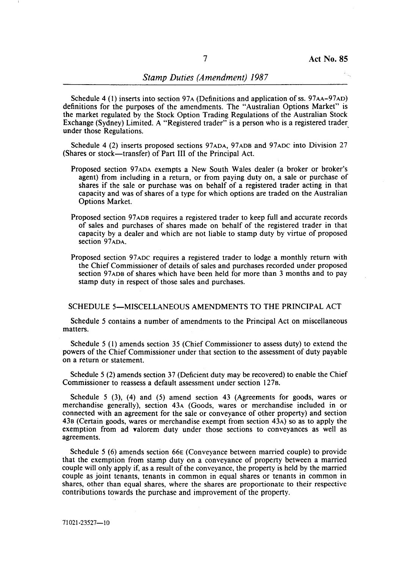Schedule 4 (1) inserts into section 97A (Definitions and application of ss. 97AA-97AD) definitions for the purposes of the amendments. The "Australian Options Market" is the market regulated by the Stock Option Trading Regulations of the Australian Stock Exchange (Sydney) Limited. A "Registered trader" is a person who is a registered trader under those Regulations. .

Schedule 4 (2) inserts proposed sections 97ADA, 97ADB and 97ADC into Division 27 (Shares or stock-transfer) of Part III of the Principal Act.

- Proposed section 97ADA exempts a New South Wales dealer (a broker or broker's agent) from including in a return, or from paying duty on, a sale or purchase of shares if the sale or purchase was on behalf of a registered trader acting in that capacity and was of shares of a type for which options are traded on the Australian Options Market.
- Proposed section 97 ADB requires a registered trader to keep full and accurate records of sales and purchases of shares made on behalf of the registered trader in that capacity by a dealer and which are not liable to stamp duty by virtue of proposed section 97ADA.
- Proposed section 97 ADC requires a registered trader to lodge a monthly return with the Chief Commissioner of details of sales and purchases recorded under proposed section 97ADB of shares which have been held for more than 3 months and to pay stamp duty in respect of those sales and purchases.

### SCHEDULE 5-MISCELLANEOUS AMENDMENTS TO THE PRINCIPAL ACT

Schedule 5 contains a number of amendments to the Principal Act on miscellaneous matters.

Schedule 5 (1) amends section 35 (Chief Commissioner to assess duty) to extend the powers of the Chief Commissioner under that section to the assessment of duty payable on a return or statement.

Schedule 5 (2) amends section 37 (Deficient duty may be recovered) to enable the Chief Commissioner to reassess a default assessment under section 127B.

Schedule 5 (3), (4) and (5) amend section 43 (Agreements for goods, wares or merchandise generally), section 43A (Goods, wares or merchandise included in or connected with an agreement for the sale or conveyance of other property) and section 43B (Certain goods, wares or merchandise exempt from section 43A) so as to apply the exemption from ad yalorem duty under those sections to conveyances as well as agreements.

Schedule 5 (6) amends section 66E (Conveyance between married couple) to provide that the exemption from stamp duty on a conveyance of property between a married couple will only apply if, as a result of the conveyance, the property is held by the married couple as joint tenants, tenants in common in equal shares or tenants in common in shares, other than equal shares, where the shares are proportionate to their respective contributions towards the purchase and improvement of the property.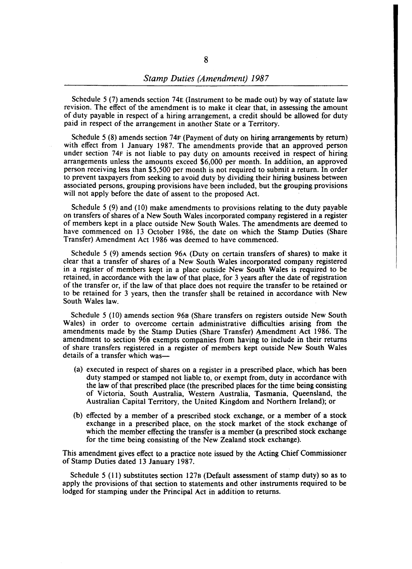Schedule 5 (7) amends section 74E (Instrument to be made out) by way of statute law revision. The effect of the amendment is to make it clear that, in assessing the amount of duty payable in respect of a hiring arrangement, a credit should be allowed for duty paid in respect of the arrangement in another State or a Territory.

Schedule 5 (8) amends section 74F (Payment of duty on hiring arrangements by return) with effect from 1 January 1987. The amendments provide that an approved person under section 74F is not liable to pay duty on amounts received in respect of hiring arrangements unless the amounts exceed \$6,000 per month. In addition, an approved person receiving less than \$5,500 per month is not required to submit a return. In order to prevent taxpayers from seeking to avoid duty by dividing their hiring business between associated persons, grouping provisions have been included, but the grouping provisions will not apply before the date of assent to the proposed Act.

Schedule 5 (9) and (10) make amendments to provisions relating to the duty payable on transfers of shares of a New South Wales incorporated company registered in a register of members kept in a place outside New South Wales. The amendments are deemed to have commenced on 13 October 1986, the date on which the Stamp Duties (Share Transfer) Amendment Act 1986 was deemed to have commenced.

Schedule 5 (9) amends section 96A (Duty on certain transfers of shares) to make it clear that a transfer of shares of a New South Wales incorporated company registered in a register of members kept in a place outside New South Wales is required to be retained, in accordance with the law of that place, for 3 years after the date of registration of the transfer or, if the law of that place does not require the transfer to be retained or to be retained for 3 years, then the transfer shall be retained in accordance with New South Wales law.

Schedule 5 (10) amends section 96B (Share transfers on registers outside New South Wales) in order to overcome certain administrative difficulties arising from the amendments made by the Stamp Duties (Share Transfer) Amendment Act 1986. The amendment to section 96B exempts companies from having to include in their returns of share transfers registered in a register of members kept outside New South Wales details of a transfer which was-

- (a) executed in respect of shares on a register in a prescribed place, which has been duty stamped or stamped not liable to, or exempt from, duty in accordance with the law of that prescribed place (the prescribed places for the time being consisting of Victoria, South Australia, Western Australia, Tasmania, Queensland, the Australian Capital Territory, the United Kingdom and Northern Ireland); or
- (b) effected by a member of a prescribed stock exchange, or a member of a stock exchange in a prescribed place, on the stock market of the stock exchange of which the member effecting the transfer is a member (a prescribed stock exchange for the time being consisting of the New Zealand stock exchange).

This amendment gives effect to a practice note issued by the Acting Chief Commissioner of Stamp Duties dated 13 January 1987.

Schedule 5 (11) substitutes section 127B (Default assessment of stamp duty) so as to apply the provisions of that section to statements and other instruments required to be lodged for stamping under the Principal Act in addition to returns.